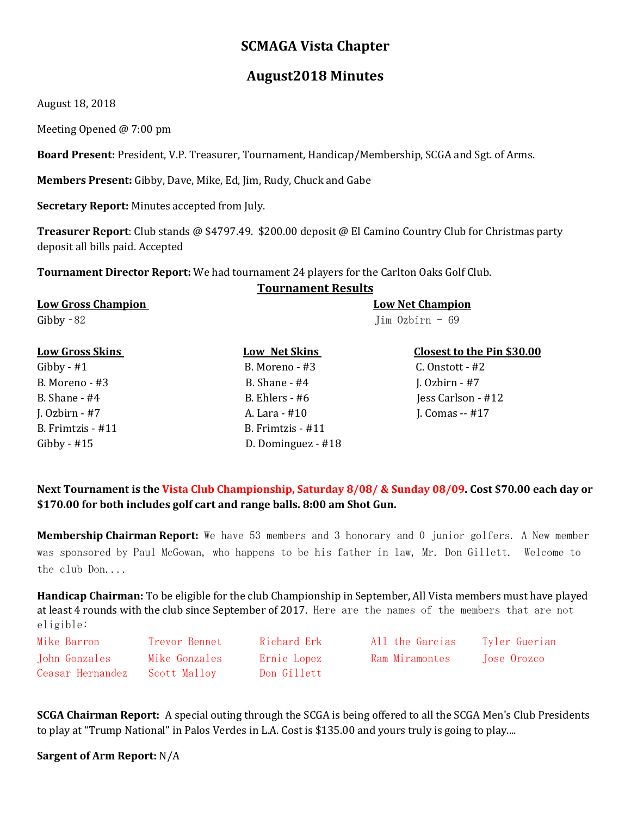# **SCMAGA Vista Chapter**

# **August2018 Minutes**

August 18, 2018

Meeting Opened @ 7:00 pm

**Board Present:** President, V.P. Treasurer, Tournament, Handicap/Membership, SCGA and Sgt. of Arms.

**Members Present:** Gibby, Dave, Mike, Ed, Jim, Rudy, Chuck and Gabe

**Secretary Report:** Minutes accepted from July.

**Treasurer Report**: Club stands @ \$4797.49. \$200.00 deposit @ El Camino Country Club for Christmas party deposit all bills paid. Accepted

**Tournament Director Report:** We had tournament 24 players for the Carlton Oaks Golf Club.

## **Tournament Results**

**Low Gross Champion Low Net Champion**  Gibby  $-82$  Jim Ozbirn  $-69$ 

B. Frimtzis - #11 B. Frimtzis - #11

Gibby - #1 B. Moreno - #3 C. Onstott - #2 B. Moreno - #3 B. Shane - #4 J. Ozbirn - #7 B. Shane - #4 B. Ehlers - #6 Jess Carlson - #12 J. Ozbirn - #7 A. Lara - #10 J. Comas -- #17 Gibby - #15 D. Dominguez - #18

### **Low Gross Skins** Low Net Skins Closest to the Pin \$30.00

## **Next Tournament is the Vista Club Championship, Saturday 8/08/ & Sunday 08/09. Cost \$70.00 each day or \$170.00 for both includes golf cart and range balls. 8:00 am Shot Gun.**

**Membership Chairman Report:** We have 53 members and 3 honorary and 0 junior golfers. A New member was sponsored by Paul McGowan, who happens to be his father in law, Mr. Don Gillett. Welcome to the club Don....

**Handicap Chairman:** To be eligible for the club Championship in September, All Vista members must have played at least 4 rounds with the club since September of 2017. Here are the names of the members that are not eligible:

| Mike Barron      | Trevor Bennet  | - Richard Erk | All the Garcias | Tyler Guerian |
|------------------|----------------|---------------|-----------------|---------------|
| John Gonzales    | Mike Gonzales  | Ernie Lopez   | Ram Miramontes  | Tose Orozco   |
| Ceasar Hernandez | - Scott Mallov | Don Gillett   |                 |               |

**SCGA Chairman Report:** A special outing through the SCGA is being offered to all the SCGA Men's Club Presidents to play at "Trump National" in Palos Verdes in L.A. Cost is \$135.00 and yours truly is going to play....

**Sargent of Arm Report:** N/A